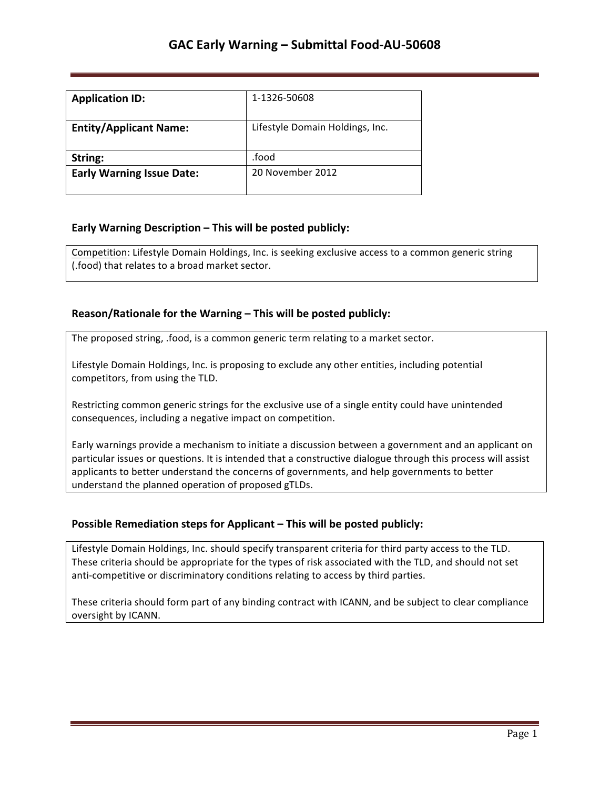| <b>Application ID:</b>           | 1-1326-50608                    |
|----------------------------------|---------------------------------|
| <b>Entity/Applicant Name:</b>    | Lifestyle Domain Holdings, Inc. |
| String:                          | .food                           |
| <b>Early Warning Issue Date:</b> | 20 November 2012                |

## **Early Warning Description – This will be posted publicly:**

Competition: Lifestyle Domain Holdings, Inc. is seeking exclusive access to a common generic string (.food) that relates to a broad market sector.

### **Reason/Rationale for the Warning – This will be posted publicly:**

The proposed string, .food, is a common generic term relating to a market sector.

Lifestyle Domain Holdings, Inc. is proposing to exclude any other entities, including potential competitors, from using the TLD.

Restricting common generic strings for the exclusive use of a single entity could have unintended consequences, including a negative impact on competition.

Early warnings provide a mechanism to initiate a discussion between a government and an applicant on particular issues or questions. It is intended that a constructive dialogue through this process will assist applicants to better understand the concerns of governments, and help governments to better understand the planned operation of proposed gTLDs.

## **Possible Remediation steps for Applicant - This will be posted publicly:**

Lifestyle Domain Holdings, Inc. should specify transparent criteria for third party access to the TLD. These criteria should be appropriate for the types of risk associated with the TLD, and should not set anti-competitive or discriminatory conditions relating to access by third parties.

These criteria should form part of any binding contract with ICANN, and be subject to clear compliance oversight by ICANN.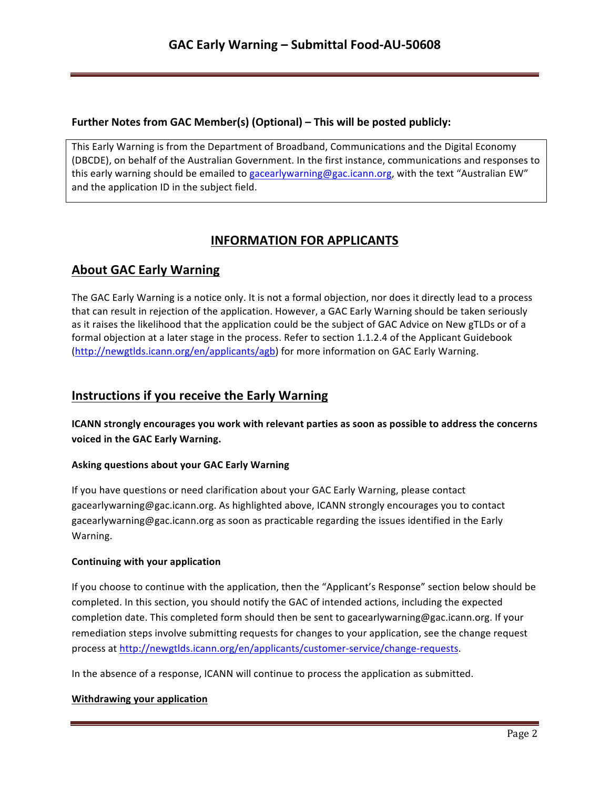## **Further Notes from GAC Member(s) (Optional) – This will be posted publicly:**

This Early Warning is from the Department of Broadband, Communications and the Digital Economy (DBCDE), on behalf of the Australian Government. In the first instance, communications and responses to this early warning should be emailed to gacearlywarning@gac.icann.org, with the text "Australian EW" and the application ID in the subject field.

# **INFORMATION FOR APPLICANTS**

## **About GAC Early Warning**

The GAC Early Warning is a notice only. It is not a formal objection, nor does it directly lead to a process that can result in rejection of the application. However, a GAC Early Warning should be taken seriously as it raises the likelihood that the application could be the subject of GAC Advice on New gTLDs or of a formal objection at a later stage in the process. Refer to section 1.1.2.4 of the Applicant Guidebook (http://newgtlds.icann.org/en/applicants/agb) for more information on GAC Early Warning.

## **Instructions if you receive the Early Warning**

**ICANN** strongly encourages you work with relevant parties as soon as possible to address the concerns voiced in the GAC Early Warning.

### **Asking questions about your GAC Early Warning**

If you have questions or need clarification about your GAC Early Warning, please contact gacearlywarning@gac.icann.org. As highlighted above, ICANN strongly encourages you to contact gacearlywarning@gac.icann.org as soon as practicable regarding the issues identified in the Early Warning. 

### **Continuing with your application**

If you choose to continue with the application, then the "Applicant's Response" section below should be completed. In this section, you should notify the GAC of intended actions, including the expected completion date. This completed form should then be sent to gacearlywarning@gac.icann.org. If your remediation steps involve submitting requests for changes to your application, see the change request process at http://newgtlds.icann.org/en/applicants/customer-service/change-requests.

In the absence of a response, ICANN will continue to process the application as submitted.

### **Withdrawing your application**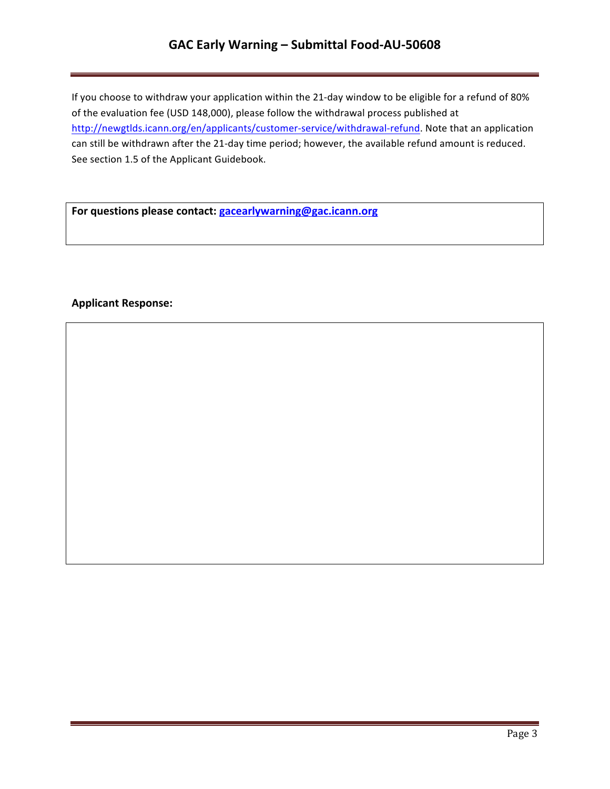# **GAC Early Warning – Submittal Food-AU-50608**

If you choose to withdraw your application within the 21-day window to be eligible for a refund of 80% of the evaluation fee (USD 148,000), please follow the withdrawal process published at http://newgtlds.icann.org/en/applicants/customer-service/withdrawal-refund. Note that an application can still be withdrawn after the 21-day time period; however, the available refund amount is reduced. See section 1.5 of the Applicant Guidebook.

For questions please contact: **gacearlywarning@gac.icann.org** 

### **Applicant Response:**